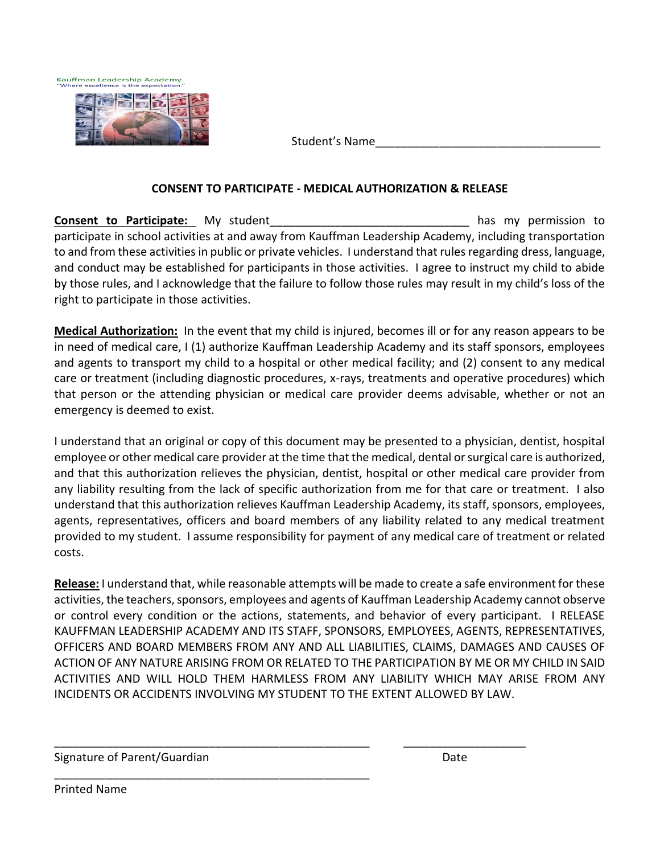



Student's Name\_\_\_\_\_\_\_\_\_\_\_\_\_\_\_\_\_\_\_\_\_\_\_\_\_\_\_\_\_\_\_\_\_\_\_

## **CONSENT TO PARTICIPATE - MEDICAL AUTHORIZATION & RELEASE**

**Consent to Participate:** My student **the student of the student of the student** has my permission to participate in school activities at and away from Kauffman Leadership Academy, including transportation to and from these activities in public or private vehicles. I understand that rules regarding dress, language, and conduct may be established for participants in those activities. I agree to instruct my child to abide by those rules, and I acknowledge that the failure to follow those rules may result in my child's loss of the right to participate in those activities.

**Medical Authorization:** In the event that my child is injured, becomes ill or for any reason appears to be in need of medical care, I (1) authorize Kauffman Leadership Academy and its staff sponsors, employees and agents to transport my child to a hospital or other medical facility; and (2) consent to any medical care or treatment (including diagnostic procedures, x-rays, treatments and operative procedures) which that person or the attending physician or medical care provider deems advisable, whether or not an emergency is deemed to exist.

I understand that an original or copy of this document may be presented to a physician, dentist, hospital employee or other medical care provider at the time that the medical, dental or surgical care is authorized, and that this authorization relieves the physician, dentist, hospital or other medical care provider from any liability resulting from the lack of specific authorization from me for that care or treatment. I also understand that this authorization relieves Kauffman Leadership Academy, its staff, sponsors, employees, agents, representatives, officers and board members of any liability related to any medical treatment provided to my student. I assume responsibility for payment of any medical care of treatment or related costs.

**Release:** I understand that, while reasonable attempts will be made to create a safe environment for these activities, the teachers, sponsors, employees and agents of Kauffman Leadership Academy cannot observe or control every condition or the actions, statements, and behavior of every participant. I RELEASE KAUFFMAN LEADERSHIP ACADEMY AND ITS STAFF, SPONSORS, EMPLOYEES, AGENTS, REPRESENTATIVES, OFFICERS AND BOARD MEMBERS FROM ANY AND ALL LIABILITIES, CLAIMS, DAMAGES AND CAUSES OF ACTION OF ANY NATURE ARISING FROM OR RELATED TO THE PARTICIPATION BY ME OR MY CHILD IN SAID ACTIVITIES AND WILL HOLD THEM HARMLESS FROM ANY LIABILITY WHICH MAY ARISE FROM ANY INCIDENTS OR ACCIDENTS INVOLVING MY STUDENT TO THE EXTENT ALLOWED BY LAW.

\_\_\_\_\_\_\_\_\_\_\_\_\_\_\_\_\_\_\_\_\_\_\_\_\_\_\_\_\_\_\_\_\_\_\_\_\_\_\_\_\_\_\_\_\_\_\_\_\_ \_\_\_\_\_\_\_\_\_\_\_\_\_\_\_\_\_\_\_

## Signature of Parent/Guardian Date Communication of Parents Control of the Date Date

\_\_\_\_\_\_\_\_\_\_\_\_\_\_\_\_\_\_\_\_\_\_\_\_\_\_\_\_\_\_\_\_\_\_\_\_\_\_\_\_\_\_\_\_\_\_\_\_\_

Printed Name